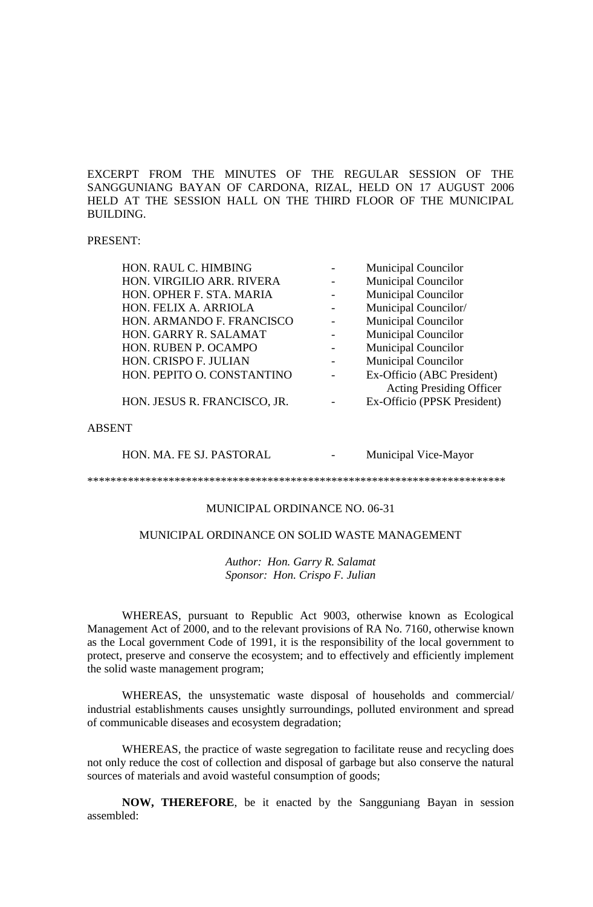EXCERPT FROM THE MINUTES OF THE REGULAR SESSION OF THE SANGGUNIANG BAYAN OF CARDONA, RIZAL, HELD ON 17 AUGUST 2006 HELD AT THE SESSION HALL ON THE THIRD FLOOR OF THE MUNICIPAL BUILDING.

PRESENT:

| HON. RAUL C. HIMBING         | <b>Municipal Councilor</b>      |
|------------------------------|---------------------------------|
| HON. VIRGILIO ARR. RIVERA    | <b>Municipal Councilor</b>      |
| HON. OPHER F. STA. MARIA     | <b>Municipal Councilor</b>      |
| HON. FELIX A. ARRIOLA        | Municipal Councilor/            |
| HON. ARMANDO F. FRANCISCO    | <b>Municipal Councilor</b>      |
| HON. GARRY R. SALAMAT        | <b>Municipal Councilor</b>      |
| <b>HON. RUBEN P. OCAMPO</b>  | <b>Municipal Councilor</b>      |
| <b>HON. CRISPO F. JULIAN</b> | <b>Municipal Councilor</b>      |
| HON. PEPITO O. CONSTANTINO   | Ex-Officio (ABC President)      |
|                              | <b>Acting Presiding Officer</b> |
| HON. JESUS R. FRANCISCO, JR. | Ex-Officio (PPSK President)     |
|                              |                                 |
| <b>ABSENT</b>                |                                 |
|                              |                                 |

HON. MA. FE SJ. PASTORAL - Municipal Vice-Mayor

\*\*\*\*\*\*\*\*\*\*\*\*\*\*\*\*\*\*\*\*\*\*\*\*\*\*\*\*\*\*\*\*\*\*\*\*\*\*\*\*\*\*\*\*\*\*\*\*\*\*\*\*\*\*\*\*\*\*\*\*\*\*\*\*\*\*\*\*\*\*\*\*

# MUNICIPAL ORDINANCE NO. 06-31

## MUNICIPAL ORDINANCE ON SOLID WASTE MANAGEMENT

*Author: Hon. Garry R. Salamat Sponsor: Hon. Crispo F. Julian*

WHEREAS, pursuant to Republic Act 9003, otherwise known as Ecological Management Act of 2000, and to the relevant provisions of RA No. 7160, otherwise known as the Local government Code of 1991, it is the responsibility of the local government to protect, preserve and conserve the ecosystem; and to effectively and efficiently implement the solid waste management program;

WHEREAS, the unsystematic waste disposal of households and commercial/ industrial establishments causes unsightly surroundings, polluted environment and spread of communicable diseases and ecosystem degradation;

WHEREAS, the practice of waste segregation to facilitate reuse and recycling does not only reduce the cost of collection and disposal of garbage but also conserve the natural sources of materials and avoid wasteful consumption of goods;

**NOW, THEREFORE**, be it enacted by the Sangguniang Bayan in session assembled: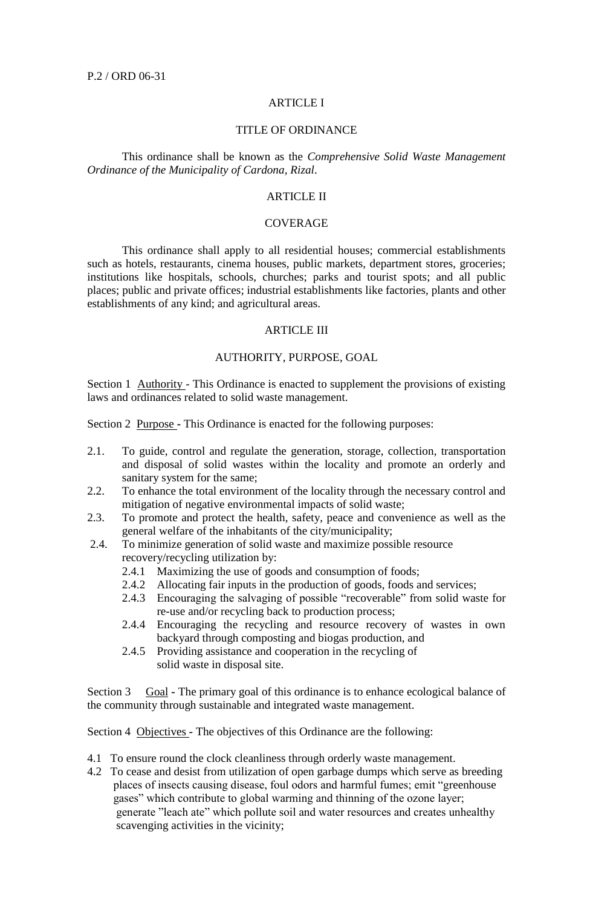#### ARTICLE I

#### TITLE OF ORDINANCE

This ordinance shall be known as the *Comprehensive Solid Waste Management Ordinance of the Municipality of Cardona, Rizal*.

#### ARTICLE II

#### **COVERAGE**

This ordinance shall apply to all residential houses; commercial establishments such as hotels, restaurants, cinema houses, public markets, department stores, groceries; institutions like hospitals, schools, churches; parks and tourist spots; and all public places; public and private offices; industrial establishments like factories, plants and other establishments of any kind; and agricultural areas.

#### ARTICLE III

## AUTHORITY, PURPOSE, GOAL

Section 1 Authority - This Ordinance is enacted to supplement the provisions of existing laws and ordinances related to solid waste management.

Section 2 Purpose **-** This Ordinance is enacted for the following purposes:

- 2.1. To guide, control and regulate the generation, storage, collection, transportation and disposal of solid wastes within the locality and promote an orderly and sanitary system for the same;
- 2.2. To enhance the total environment of the locality through the necessary control and mitigation of negative environmental impacts of solid waste;
- 2.3. To promote and protect the health, safety, peace and convenience as well as the general welfare of the inhabitants of the city/municipality;
- 2.4. To minimize generation of solid waste and maximize possible resource recovery/recycling utilization by:
	- 2.4.1 Maximizing the use of goods and consumption of foods;
	- 2.4.2 Allocating fair inputs in the production of goods, foods and services;
	- 2.4.3 Encouraging the salvaging of possible "recoverable" from solid waste for re-use and/or recycling back to production process;
	- 2.4.4 Encouraging the recycling and resource recovery of wastes in own backyard through composting and biogas production, and
	- 2.4.5 Providing assistance and cooperation in the recycling of solid waste in disposal site.

Section 3 Goal **-** The primary goal of this ordinance is to enhance ecological balance of the community through sustainable and integrated waste management.

Section 4 Objectives *-* The objectives of this Ordinance are the following:

- 4.1 To ensure round the clock cleanliness through orderly waste management.
- 4.2 To cease and desist from utilization of open garbage dumps which serve as breeding places of insects causing disease, foul odors and harmful fumes; emit "greenhouse gases" which contribute to global warming and thinning of the ozone layer; generate "leach ate" which pollute soil and water resources and creates unhealthy scavenging activities in the vicinity;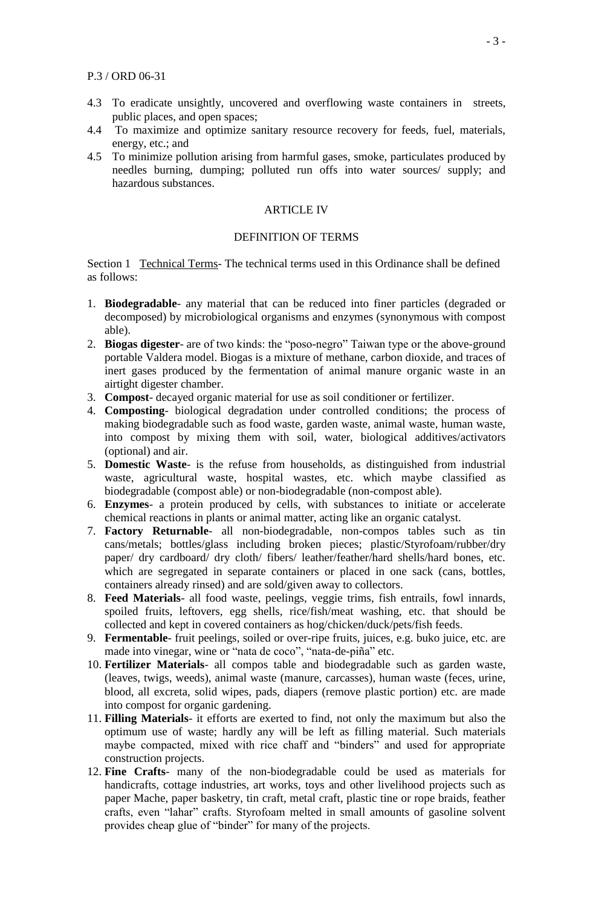## P.3 / ORD 06-31

- 4.3 To eradicate unsightly, uncovered and overflowing waste containers in streets, public places, and open spaces;
- 4.4 To maximize and optimize sanitary resource recovery for feeds, fuel, materials, energy, etc.; and
- 4.5 To minimize pollution arising from harmful gases, smoke, particulates produced by needles burning, dumping; polluted run offs into water sources/ supply; and hazardous substances.

#### **ARTICLE IV**

## DEFINITION OF TERMS

Section 1 Technical Terms*-* The technical terms used in this Ordinance shall be defined as follows:

- 1. **Biodegradable** any material that can be reduced into finer particles (degraded or decomposed) by microbiological organisms and enzymes (synonymous with compost able).
- 2. **Biogas digester** are of two kinds: the "poso-negro" Taiwan type or the above-ground portable Valdera model. Biogas is a mixture of methane, carbon dioxide, and traces of inert gases produced by the fermentation of animal manure organic waste in an airtight digester chamber.
- 3. **Compost** decayed organic material for use as soil conditioner or fertilizer.
- 4. **Composting** biological degradation under controlled conditions; the process of making biodegradable such as food waste, garden waste, animal waste, human waste, into compost by mixing them with soil, water, biological additives/activators (optional) and air.
- 5. **Domestic Waste** is the refuse from households, as distinguished from industrial waste, agricultural waste, hospital wastes, etc. which maybe classified as biodegradable (compost able) or non-biodegradable (non-compost able).
- 6. **Enzymes** a protein produced by cells, with substances to initiate or accelerate chemical reactions in plants or animal matter, acting like an organic catalyst.
- 7. **Factory Returnable** all non-biodegradable, non-compos tables such as tin cans/metals; bottles/glass including broken pieces; plastic/Styrofoam/rubber/dry paper/ dry cardboard/ dry cloth/ fibers/ leather/feather/hard shells/hard bones, etc. which are segregated in separate containers or placed in one sack (cans, bottles, containers already rinsed) and are sold/given away to collectors.
- 8. **Feed Materials** all food waste, peelings, veggie trims, fish entrails, fowl innards, spoiled fruits, leftovers, egg shells, rice/fish/meat washing, etc. that should be collected and kept in covered containers as hog/chicken/duck/pets/fish feeds.
- 9. **Fermentable** fruit peelings, soiled or over-ripe fruits, juices, e.g. buko juice, etc. are made into vinegar, wine or "nata de coco", "nata-de-piña" etc.
- 10. **Fertilizer Materials** all compos table and biodegradable such as garden waste, (leaves, twigs, weeds), animal waste (manure, carcasses), human waste (feces, urine, blood, all excreta, solid wipes, pads, diapers (remove plastic portion) etc. are made into compost for organic gardening.
- 11. **Filling Materials** it efforts are exerted to find, not only the maximum but also the optimum use of waste; hardly any will be left as filling material. Such materials maybe compacted, mixed with rice chaff and "binders" and used for appropriate construction projects.
- 12. **Fine Crafts** many of the non-biodegradable could be used as materials for handicrafts, cottage industries, art works, toys and other livelihood projects such as paper Mache, paper basketry, tin craft, metal craft, plastic tine or rope braids, feather crafts, even "lahar" crafts. Styrofoam melted in small amounts of gasoline solvent provides cheap glue of "binder" for many of the projects.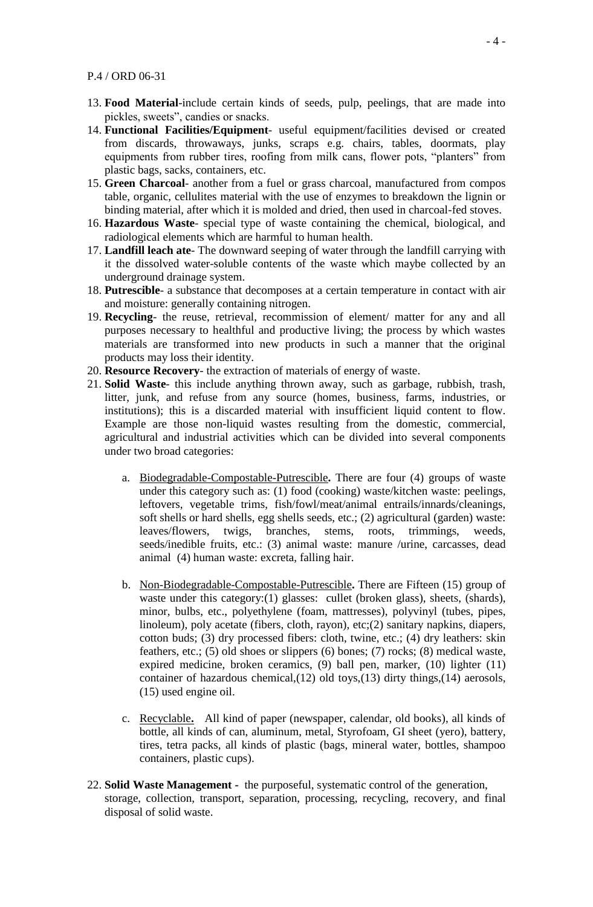## P.4 / ORD 06-31

- 13. **Food Material**-include certain kinds of seeds, pulp, peelings, that are made into pickles, sweets", candies or snacks.
- 14. **Functional Facilities/Equipment** useful equipment/facilities devised or created from discards, throwaways, junks, scraps e.g. chairs, tables, doormats, play equipments from rubber tires, roofing from milk cans, flower pots, "planters" from plastic bags, sacks, containers, etc.
- 15. **Green Charcoal** another from a fuel or grass charcoal, manufactured from compos table, organic, cellulites material with the use of enzymes to breakdown the lignin or binding material, after which it is molded and dried, then used in charcoal-fed stoves.
- 16. **Hazardous Waste** special type of waste containing the chemical, biological, and radiological elements which are harmful to human health.
- 17. **Landfill leach ate** The downward seeping of water through the landfill carrying with it the dissolved water-soluble contents of the waste which maybe collected by an underground drainage system.
- 18. **Putrescible** a substance that decomposes at a certain temperature in contact with air and moisture: generally containing nitrogen.
- 19. **Recycling** the reuse, retrieval, recommission of element/ matter for any and all purposes necessary to healthful and productive living; the process by which wastes materials are transformed into new products in such a manner that the original products may loss their identity.
- 20. **Resource Recovery** the extraction of materials of energy of waste.
- 21. **Solid Waste** this include anything thrown away, such as garbage, rubbish, trash, litter, junk, and refuse from any source (homes, business, farms, industries, or institutions); this is a discarded material with insufficient liquid content to flow. Example are those non-liquid wastes resulting from the domestic, commercial, agricultural and industrial activities which can be divided into several components under two broad categories:
	- a. Biodegradable-Compostable-Putrescible**.** There are four (4) groups of waste under this category such as: (1) food (cooking) waste/kitchen waste: peelings, leftovers, vegetable trims, fish/fowl/meat/animal entrails/innards/cleanings, soft shells or hard shells, egg shells seeds, etc.; (2) agricultural (garden) waste: leaves/flowers, twigs, branches, stems, roots, trimmings, weeds, seeds/inedible fruits, etc.: (3) animal waste: manure /urine, carcasses, dead animal (4) human waste: excreta, falling hair.
	- b. Non-Biodegradable-Compostable-Putrescible**.** There are Fifteen (15) group of waste under this category: (1) glasses: cullet (broken glass), sheets, (shards), minor, bulbs, etc., polyethylene (foam, mattresses), polyvinyl (tubes, pipes, linoleum), poly acetate (fibers, cloth, rayon), etc;(2) sanitary napkins, diapers, cotton buds; (3) dry processed fibers: cloth, twine, etc.; (4) dry leathers: skin feathers, etc.; (5) old shoes or slippers (6) bones; (7) rocks; (8) medical waste, expired medicine, broken ceramics, (9) ball pen, marker, (10) lighter (11) container of hazardous chemical,(12) old toys,(13) dirty things,(14) aerosols, (15) used engine oil.
	- c. Recyclable**.** All kind of paper (newspaper, calendar, old books), all kinds of bottle, all kinds of can, aluminum, metal, Styrofoam, GI sheet (yero), battery, tires, tetra packs, all kinds of plastic (bags, mineral water, bottles, shampoo containers, plastic cups).
- 22. **Solid Waste Management** the purposeful, systematic control of the generation, storage, collection, transport, separation, processing, recycling, recovery, and final disposal of solid waste.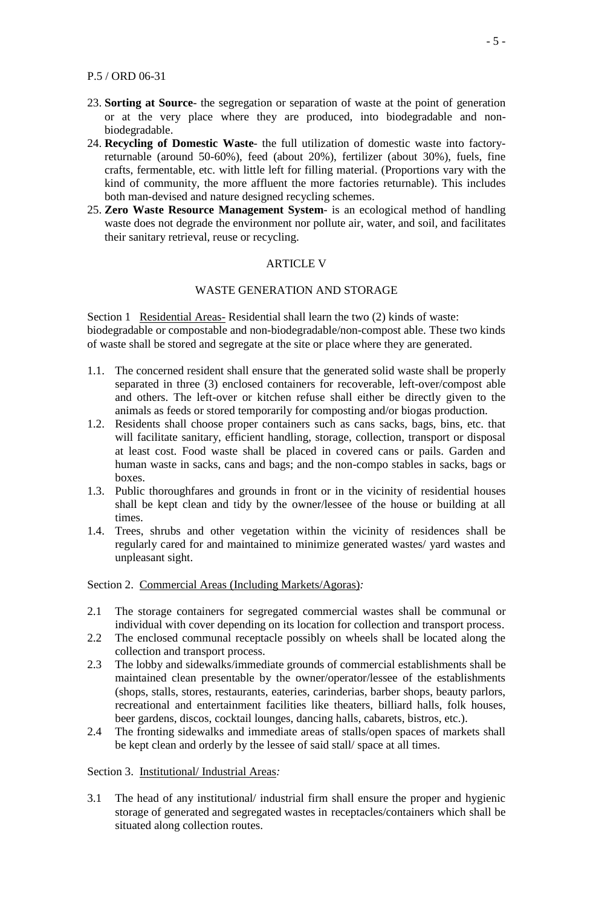P.5 / ORD 06-31

- 23. **Sorting at Source** the segregation or separation of waste at the point of generation or at the very place where they are produced, into biodegradable and nonbiodegradable.
- 24. **Recycling of Domestic Waste** the full utilization of domestic waste into factoryreturnable (around 50-60%), feed (about 20%), fertilizer (about 30%), fuels, fine crafts, fermentable, etc. with little left for filling material. (Proportions vary with the kind of community, the more affluent the more factories returnable). This includes both man-devised and nature designed recycling schemes.
- 25. **Zero Waste Resource Management System** is an ecological method of handling waste does not degrade the environment nor pollute air, water, and soil, and facilitates their sanitary retrieval, reuse or recycling.

## ARTICLE V

#### WASTE GENERATION AND STORAGE

Section 1 Residential Areas- Residential shall learn the two (2) kinds of waste: biodegradable or compostable and non-biodegradable/non-compost able. These two kinds of waste shall be stored and segregate at the site or place where they are generated.

- 1.1. The concerned resident shall ensure that the generated solid waste shall be properly separated in three (3) enclosed containers for recoverable, left-over/compost able and others. The left-over or kitchen refuse shall either be directly given to the animals as feeds or stored temporarily for composting and/or biogas production.
- 1.2. Residents shall choose proper containers such as cans sacks, bags, bins, etc. that will facilitate sanitary, efficient handling, storage, collection, transport or disposal at least cost. Food waste shall be placed in covered cans or pails. Garden and human waste in sacks, cans and bags; and the non-compo stables in sacks, bags or boxes.
- 1.3. Public thoroughfares and grounds in front or in the vicinity of residential houses shall be kept clean and tidy by the owner/lessee of the house or building at all times.
- 1.4. Trees, shrubs and other vegetation within the vicinity of residences shall be regularly cared for and maintained to minimize generated wastes/ yard wastes and unpleasant sight.

Section 2. Commercial Areas (Including Markets/Agoras)*:*

- 2.1 The storage containers for segregated commercial wastes shall be communal or individual with cover depending on its location for collection and transport process.
- 2.2 The enclosed communal receptacle possibly on wheels shall be located along the collection and transport process.
- 2.3 The lobby and sidewalks/immediate grounds of commercial establishments shall be maintained clean presentable by the owner/operator/lessee of the establishments (shops, stalls, stores, restaurants, eateries, carinderias, barber shops, beauty parlors, recreational and entertainment facilities like theaters, billiard halls, folk houses, beer gardens, discos, cocktail lounges, dancing halls, cabarets, bistros, etc.).
- 2.4 The fronting sidewalks and immediate areas of stalls/open spaces of markets shall be kept clean and orderly by the lessee of said stall/ space at all times.

# Section 3. Institutional/ Industrial Areas*:*

3.1 The head of any institutional/ industrial firm shall ensure the proper and hygienic storage of generated and segregated wastes in receptacles/containers which shall be situated along collection routes.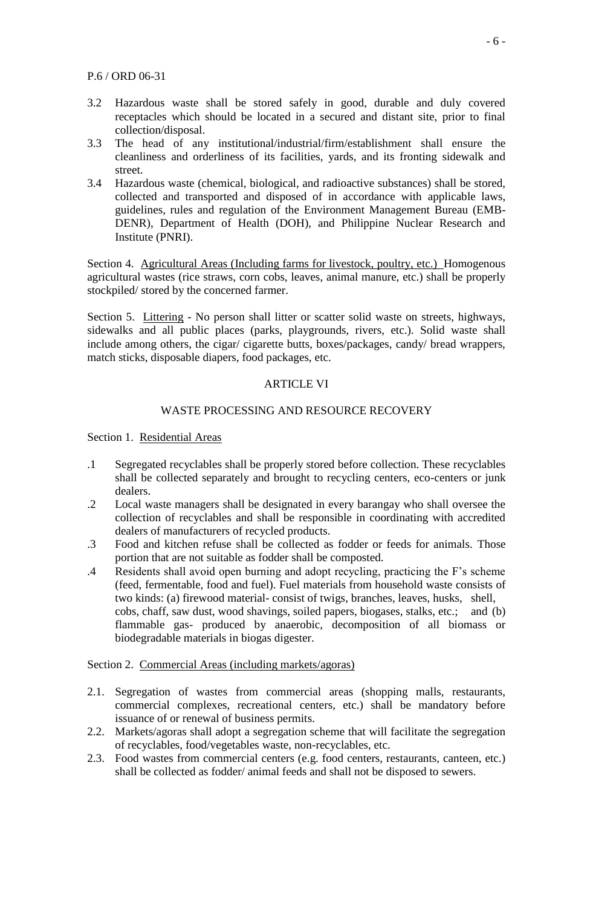P.6 / ORD 06-31

- 3.2 Hazardous waste shall be stored safely in good, durable and duly covered receptacles which should be located in a secured and distant site, prior to final collection/disposal.
- 3.3 The head of any institutional/industrial/firm/establishment shall ensure the cleanliness and orderliness of its facilities, yards, and its fronting sidewalk and street.
- 3.4 Hazardous waste (chemical, biological, and radioactive substances) shall be stored, collected and transported and disposed of in accordance with applicable laws, guidelines, rules and regulation of the Environment Management Bureau (EMB-DENR), Department of Health (DOH), and Philippine Nuclear Research and Institute (PNRI).

Section 4. Agricultural Areas (Including farms for livestock, poultry, etc.) Homogenous agricultural wastes (rice straws, corn cobs, leaves, animal manure, etc.) shall be properly stockpiled/ stored by the concerned farmer.

Section 5. Littering - No person shall litter or scatter solid waste on streets, highways, sidewalks and all public places (parks, playgrounds, rivers, etc.). Solid waste shall include among others, the cigar/ cigarette butts, boxes/packages, candy/ bread wrappers, match sticks, disposable diapers, food packages, etc.

# ARTICLE VI

# WASTE PROCESSING AND RESOURCE RECOVERY

Section 1. Residential Areas

- .1 Segregated recyclables shall be properly stored before collection. These recyclables shall be collected separately and brought to recycling centers, eco-centers or junk dealers.
- .2 Local waste managers shall be designated in every barangay who shall oversee the collection of recyclables and shall be responsible in coordinating with accredited dealers of manufacturers of recycled products.
- .3 Food and kitchen refuse shall be collected as fodder or feeds for animals. Those portion that are not suitable as fodder shall be composted.
- .4 Residents shall avoid open burning and adopt recycling, practicing the F's scheme (feed, fermentable, food and fuel). Fuel materials from household waste consists of two kinds: (a) firewood material- consist of twigs, branches, leaves, husks, shell, cobs, chaff, saw dust, wood shavings, soiled papers, biogases, stalks, etc.; and (b) flammable gas- produced by anaerobic, decomposition of all biomass or biodegradable materials in biogas digester.

#### Section 2. Commercial Areas (including markets/agoras)

- 2.1. Segregation of wastes from commercial areas (shopping malls, restaurants, commercial complexes, recreational centers, etc.) shall be mandatory before issuance of or renewal of business permits.
- 2.2. Markets/agoras shall adopt a segregation scheme that will facilitate the segregation of recyclables, food/vegetables waste, non-recyclables, etc.
- 2.3. Food wastes from commercial centers (e.g. food centers, restaurants, canteen, etc.) shall be collected as fodder/ animal feeds and shall not be disposed to sewers.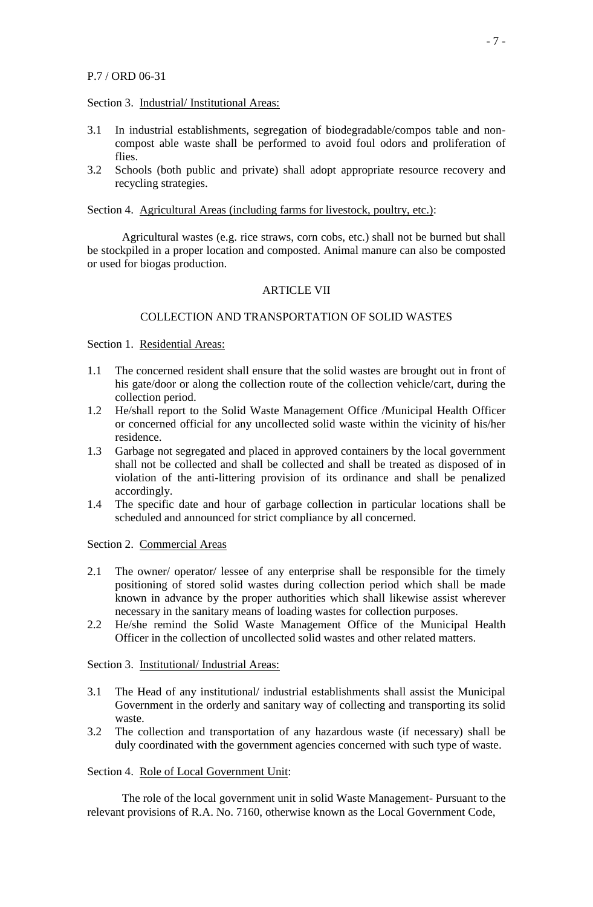Section 3. Industrial/ Institutional Areas:

- 3.1 In industrial establishments, segregation of biodegradable/compos table and noncompost able waste shall be performed to avoid foul odors and proliferation of flies.
- 3.2 Schools (both public and private) shall adopt appropriate resource recovery and recycling strategies.

#### Section 4. Agricultural Areas (including farms for livestock, poultry, etc.):

Agricultural wastes (e.g. rice straws, corn cobs, etc.) shall not be burned but shall be stockpiled in a proper location and composted. Animal manure can also be composted or used for biogas production.

## ARTICLE VII

#### COLLECTION AND TRANSPORTATION OF SOLID WASTES

Section 1. Residential Areas:

- 1.1 The concerned resident shall ensure that the solid wastes are brought out in front of his gate/door or along the collection route of the collection vehicle/cart, during the collection period.
- 1.2 He/shall report to the Solid Waste Management Office /Municipal Health Officer or concerned official for any uncollected solid waste within the vicinity of his/her residence.
- 1.3 Garbage not segregated and placed in approved containers by the local government shall not be collected and shall be collected and shall be treated as disposed of in violation of the anti-littering provision of its ordinance and shall be penalized accordingly.
- 1.4 The specific date and hour of garbage collection in particular locations shall be scheduled and announced for strict compliance by all concerned.

Section 2. Commercial Areas

- 2.1 The owner/ operator/ lessee of any enterprise shall be responsible for the timely positioning of stored solid wastes during collection period which shall be made known in advance by the proper authorities which shall likewise assist wherever necessary in the sanitary means of loading wastes for collection purposes.
- 2.2 He/she remind the Solid Waste Management Office of the Municipal Health Officer in the collection of uncollected solid wastes and other related matters.

Section 3. Institutional/ Industrial Areas:

- 3.1 The Head of any institutional/ industrial establishments shall assist the Municipal Government in the orderly and sanitary way of collecting and transporting its solid waste.
- 3.2 The collection and transportation of any hazardous waste (if necessary) shall be duly coordinated with the government agencies concerned with such type of waste.

## Section 4. Role of Local Government Unit:

The role of the local government unit in solid Waste Management- Pursuant to the relevant provisions of R.A. No. 7160, otherwise known as the Local Government Code,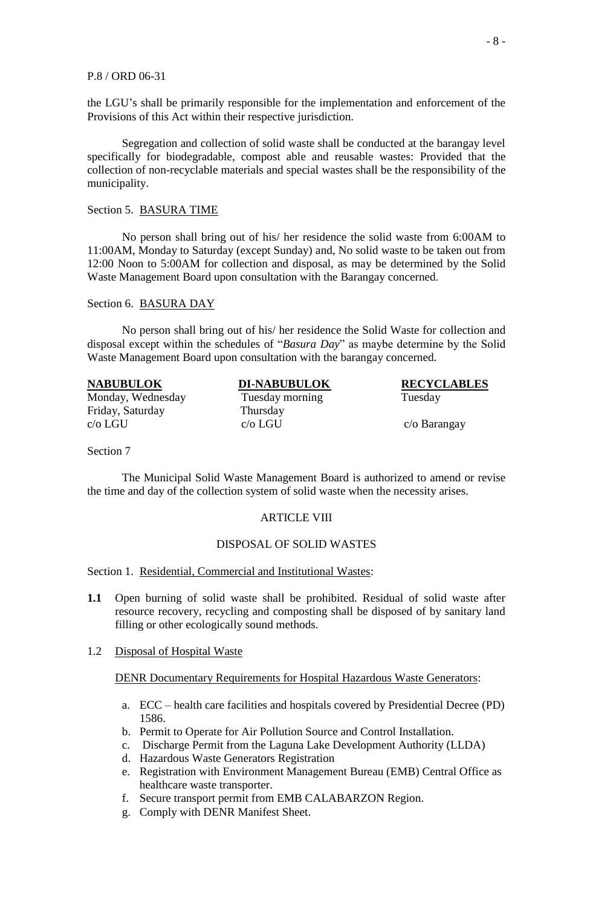P.8 / ORD 06-31

the LGU's shall be primarily responsible for the implementation and enforcement of the Provisions of this Act within their respective jurisdiction.

Segregation and collection of solid waste shall be conducted at the barangay level specifically for biodegradable, compost able and reusable wastes: Provided that the collection of non-recyclable materials and special wastes shall be the responsibility of the municipality.

# Section 5. BASURA TIME

No person shall bring out of his/ her residence the solid waste from 6:00AM to 11:00AM, Monday to Saturday (except Sunday) and, No solid waste to be taken out from 12:00 Noon to 5:00AM for collection and disposal, as may be determined by the Solid Waste Management Board upon consultation with the Barangay concerned.

Section 6. BASURA DAY

No person shall bring out of his/ her residence the Solid Waste for collection and disposal except within the schedules of "*Basura Day*" as maybe determine by the Solid Waste Management Board upon consultation with the barangay concerned.

Friday, Saturday Thursday c/o LGU c/o LGU c/o Barangay

Monday, Wednesday Tuesday morning Tuesday

**NABUBULOK DI-NABUBULOK RECYCLABLES**

Section 7

The Municipal Solid Waste Management Board is authorized to amend or revise the time and day of the collection system of solid waste when the necessity arises.

#### ARTICLE VIII

#### DISPOSAL OF SOLID WASTES

Section 1. Residential, Commercial and Institutional Wastes:

- **1.1** Open burning of solid waste shall be prohibited. Residual of solid waste after resource recovery, recycling and composting shall be disposed of by sanitary land filling or other ecologically sound methods.
- 1.2 Disposal of Hospital Waste

DENR Documentary Requirements for Hospital Hazardous Waste Generators:

- a. ECC health care facilities and hospitals covered by Presidential Decree (PD) 1586.
- b. Permit to Operate for Air Pollution Source and Control Installation.
- c. Discharge Permit from the Laguna Lake Development Authority (LLDA)
- d. Hazardous Waste Generators Registration
- e. Registration with Environment Management Bureau (EMB) Central Office as healthcare waste transporter.
- f. Secure transport permit from EMB CALABARZON Region.
- g. Comply with DENR Manifest Sheet.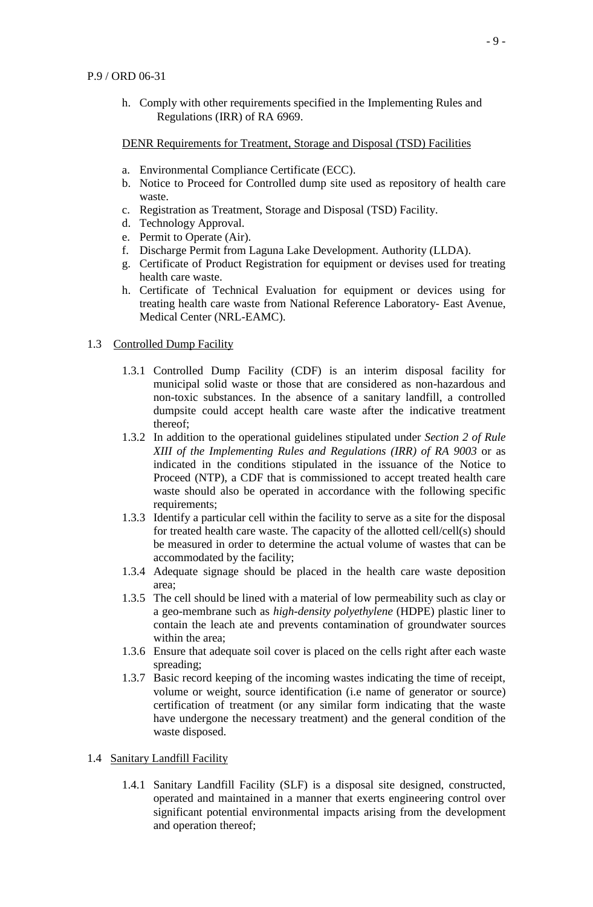h. Comply with other requirements specified in the Implementing Rules and Regulations (IRR) of RA 6969.

DENR Requirements for Treatment, Storage and Disposal (TSD) Facilities

- a. Environmental Compliance Certificate (ECC).
- b. Notice to Proceed for Controlled dump site used as repository of health care waste.
- c. Registration as Treatment, Storage and Disposal (TSD) Facility.
- d. Technology Approval.
- e. Permit to Operate (Air).
- f. Discharge Permit from Laguna Lake Development. Authority (LLDA).
- g. Certificate of Product Registration for equipment or devises used for treating health care waste.
- h. Certificate of Technical Evaluation for equipment or devices using for treating health care waste from National Reference Laboratory- East Avenue, Medical Center (NRL-EAMC).

## 1.3 Controlled Dump Facility

- 1.3.1 Controlled Dump Facility (CDF) is an interim disposal facility for municipal solid waste or those that are considered as non-hazardous and non-toxic substances. In the absence of a sanitary landfill, a controlled dumpsite could accept health care waste after the indicative treatment thereof;
- 1.3.2 In addition to the operational guidelines stipulated under *Section 2 of Rule XIII of the Implementing Rules and Regulations (IRR) of RA 9003* or as indicated in the conditions stipulated in the issuance of the Notice to Proceed (NTP), a CDF that is commissioned to accept treated health care waste should also be operated in accordance with the following specific requirements;
- 1.3.3 Identify a particular cell within the facility to serve as a site for the disposal for treated health care waste. The capacity of the allotted cell/cell(s) should be measured in order to determine the actual volume of wastes that can be accommodated by the facility;
- 1.3.4 Adequate signage should be placed in the health care waste deposition area;
- 1.3.5 The cell should be lined with a material of low permeability such as clay or a geo-membrane such as *high-density polyethylene* (HDPE) plastic liner to contain the leach ate and prevents contamination of groundwater sources within the area;
- 1.3.6 Ensure that adequate soil cover is placed on the cells right after each waste spreading;
- 1.3.7 Basic record keeping of the incoming wastes indicating the time of receipt, volume or weight, source identification (i.e name of generator or source) certification of treatment (or any similar form indicating that the waste have undergone the necessary treatment) and the general condition of the waste disposed.

# 1.4 Sanitary Landfill Facility

1.4.1 Sanitary Landfill Facility (SLF) is a disposal site designed, constructed, operated and maintained in a manner that exerts engineering control over significant potential environmental impacts arising from the development and operation thereof;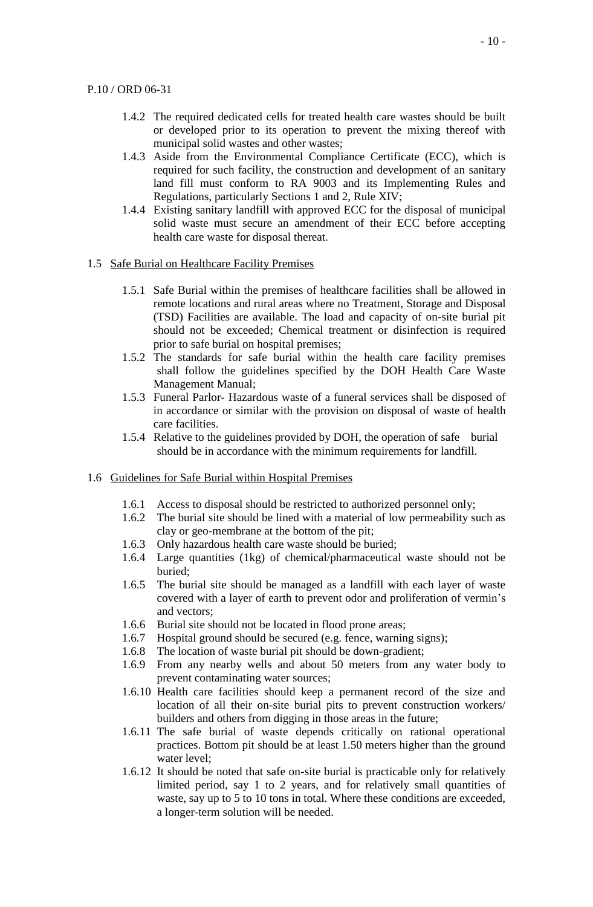- 1.4.2 The required dedicated cells for treated health care wastes should be built or developed prior to its operation to prevent the mixing thereof with municipal solid wastes and other wastes;
- 1.4.3 Aside from the Environmental Compliance Certificate (ECC), which is required for such facility, the construction and development of an sanitary land fill must conform to RA 9003 and its Implementing Rules and Regulations, particularly Sections 1 and 2, Rule XIV;
- 1.4.4 Existing sanitary landfill with approved ECC for the disposal of municipal solid waste must secure an amendment of their ECC before accepting health care waste for disposal thereat.
- 1.5 Safe Burial on Healthcare Facility Premises
	- 1.5.1 Safe Burial within the premises of healthcare facilities shall be allowed in remote locations and rural areas where no Treatment, Storage and Disposal (TSD) Facilities are available. The load and capacity of on-site burial pit should not be exceeded; Chemical treatment or disinfection is required prior to safe burial on hospital premises;
	- 1.5.2 The standards for safe burial within the health care facility premises shall follow the guidelines specified by the DOH Health Care Waste Management Manual;
	- 1.5.3 Funeral Parlor- Hazardous waste of a funeral services shall be disposed of in accordance or similar with the provision on disposal of waste of health care facilities.
	- 1.5.4 Relative to the guidelines provided by DOH, the operation of safe burial should be in accordance with the minimum requirements for landfill.
- 1.6 Guidelines for Safe Burial within Hospital Premises
	- 1.6.1 Access to disposal should be restricted to authorized personnel only;
	- 1.6.2 The burial site should be lined with a material of low permeability such as clay or geo-membrane at the bottom of the pit;
	- 1.6.3 Only hazardous health care waste should be buried;
	- 1.6.4 Large quantities (1kg) of chemical/pharmaceutical waste should not be buried;
	- 1.6.5 The burial site should be managed as a landfill with each layer of waste covered with a layer of earth to prevent odor and proliferation of vermin's and vectors;
	- 1.6.6 Burial site should not be located in flood prone areas;
	- 1.6.7 Hospital ground should be secured (e.g. fence, warning signs);
	- 1.6.8 The location of waste burial pit should be down-gradient;
	- 1.6.9 From any nearby wells and about 50 meters from any water body to prevent contaminating water sources;
	- 1.6.10 Health care facilities should keep a permanent record of the size and location of all their on-site burial pits to prevent construction workers/ builders and others from digging in those areas in the future;
	- 1.6.11 The safe burial of waste depends critically on rational operational practices. Bottom pit should be at least 1.50 meters higher than the ground water level;
	- 1.6.12 It should be noted that safe on-site burial is practicable only for relatively limited period, say 1 to 2 years, and for relatively small quantities of waste, say up to 5 to 10 tons in total. Where these conditions are exceeded, a longer-term solution will be needed.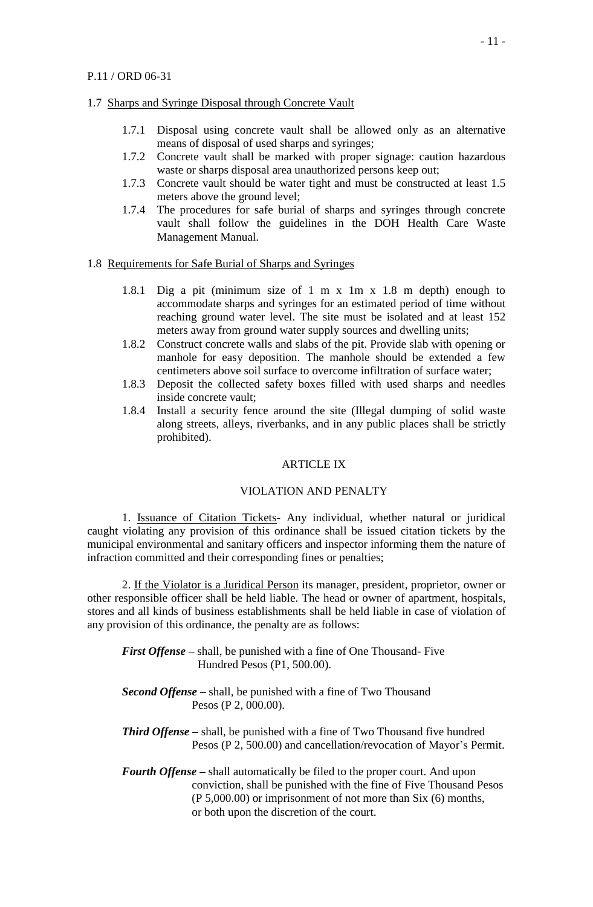## P.11 / ORD 06-31

#### 1.7 Sharps and Syringe Disposal through Concrete Vault

- 1.7.1 Disposal using concrete vault shall be allowed only as an alternative means of disposal of used sharps and syringes;
- 1.7.2 Concrete vault shall be marked with proper signage: caution hazardous waste or sharps disposal area unauthorized persons keep out;
- 1.7.3 Concrete vault should be water tight and must be constructed at least 1.5 meters above the ground level;
- 1.7.4 The procedures for safe burial of sharps and syringes through concrete vault shall follow the guidelines in the DOH Health Care Waste Management Manual.

## 1.8Requirements for Safe Burial of Sharps and Syringes

- 1.8.1 Dig a pit (minimum size of 1 m x 1m x 1.8 m depth) enough to accommodate sharps and syringes for an estimated period of time without reaching ground water level. The site must be isolated and at least 152 meters away from ground water supply sources and dwelling units;
- 1.8.2 Construct concrete walls and slabs of the pit. Provide slab with opening or manhole for easy deposition. The manhole should be extended a few centimeters above soil surface to overcome infiltration of surface water;
- 1.8.3 Deposit the collected safety boxes filled with used sharps and needles inside concrete vault;
- 1.8.4 Install a security fence around the site (Illegal dumping of solid waste along streets, alleys, riverbanks, and in any public places shall be strictly prohibited).

#### ARTICLE IX

# VIOLATION AND PENALTY

1. Issuance of Citation Tickets- Any individual, whether natural or juridical caught violating any provision of this ordinance shall be issued citation tickets by the municipal environmental and sanitary officers and inspector informing them the nature of infraction committed and their corresponding fines or penalties;

2. If the Violator is a Juridical Person its manager, president, proprietor, owner or other responsible officer shall be held liable. The head or owner of apartment, hospitals, stores and all kinds of business establishments shall be held liable in case of violation of any provision of this ordinance, the penalty are as follows:

- *First Offense –* shall, be punished with a fine of One Thousand- Five Hundred Pesos (P1, 500.00).
- *Second Offense* **–** shall, be punished with a fine of Two Thousand Pesos (P 2, 000.00).
- *Third Offense* shall, be punished with a fine of Two Thousand five hundred Pesos (P 2, 500.00) and cancellation/revocation of Mayor's Permit.
- *Fourth Offense –* shall automatically be filed to the proper court. And upon conviction, shall be punished with the fine of Five Thousand Pesos (P 5,000.00) or imprisonment of not more than Six (6) months, or both upon the discretion of the court.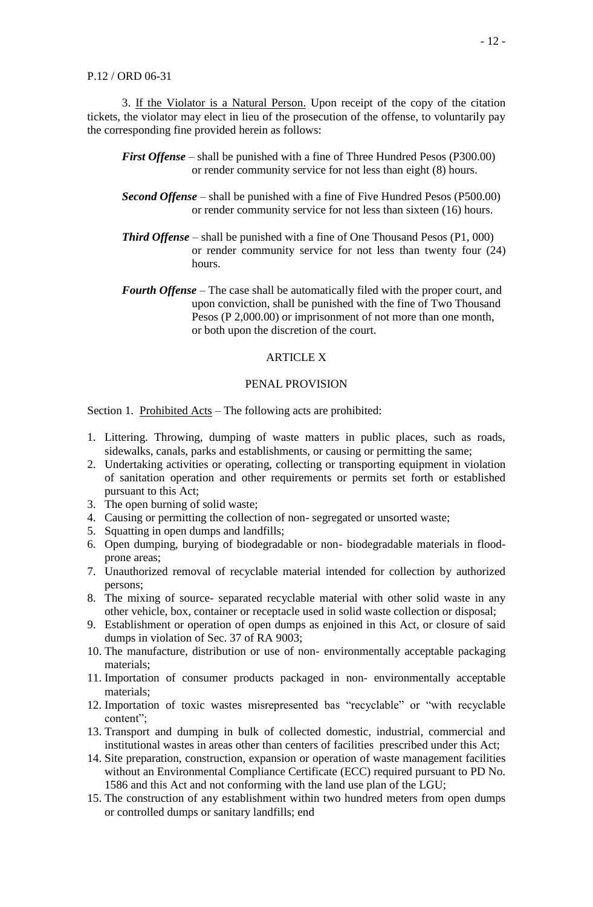## P.12 / ORD 06-31

3. If the Violator is a Natural Person. Upon receipt of the copy of the citation tickets, the violator may elect in lieu of the prosecution of the offense, to voluntarily pay the corresponding fine provided herein as follows:

*First Offense* – shall be punished with a fine of Three Hundred Pesos (P300.00) or render community service for not less than eight (8) hours.

- *Second Offense* shall be punished with a fine of Five Hundred Pesos (P500.00) or render community service for not less than sixteen (16) hours.
- **Third Offense** shall be punished with a fine of One Thousand Pesos (P1, 000) or render community service for not less than twenty four (24) hours.
- *Fourth Offense* The case shall be automatically filed with the proper court, and upon conviction, shall be punished with the fine of Two Thousand Pesos (P 2,000.00) or imprisonment of not more than one month, or both upon the discretion of the court.

## ARTICLE X

#### PENAL PROVISION

Section 1. Prohibited Acts – The following acts are prohibited:

- 1. Littering. Throwing, dumping of waste matters in public places, such as roads, sidewalks, canals, parks and establishments, or causing or permitting the same;
- 2. Undertaking activities or operating, collecting or transporting equipment in violation of sanitation operation and other requirements or permits set forth or established pursuant to this Act;
- 3. The open burning of solid waste;
- 4. Causing or permitting the collection of non- segregated or unsorted waste;
- 5. Squatting in open dumps and landfills;
- 6. Open dumping, burying of biodegradable or non- biodegradable materials in floodprone areas;
- 7. Unauthorized removal of recyclable material intended for collection by authorized persons;
- 8. The mixing of source- separated recyclable material with other solid waste in any other vehicle, box, container or receptacle used in solid waste collection or disposal;
- 9. Establishment or operation of open dumps as enjoined in this Act, or closure of said dumps in violation of Sec. 37 of RA 9003;
- 10. The manufacture, distribution or use of non- environmentally acceptable packaging materials;
- 11. Importation of consumer products packaged in non- environmentally acceptable materials;
- 12. Importation of toxic wastes misrepresented bas "recyclable" or "with recyclable content";
- 13. Transport and dumping in bulk of collected domestic, industrial, commercial and institutional wastes in areas other than centers of facilities prescribed under this Act;
- 14. Site preparation, construction, expansion or operation of waste management facilities without an Environmental Compliance Certificate (ECC) required pursuant to PD No. 1586 and this Act and not conforming with the land use plan of the LGU;
- 15. The construction of any establishment within two hundred meters from open dumps or controlled dumps or sanitary landfills; end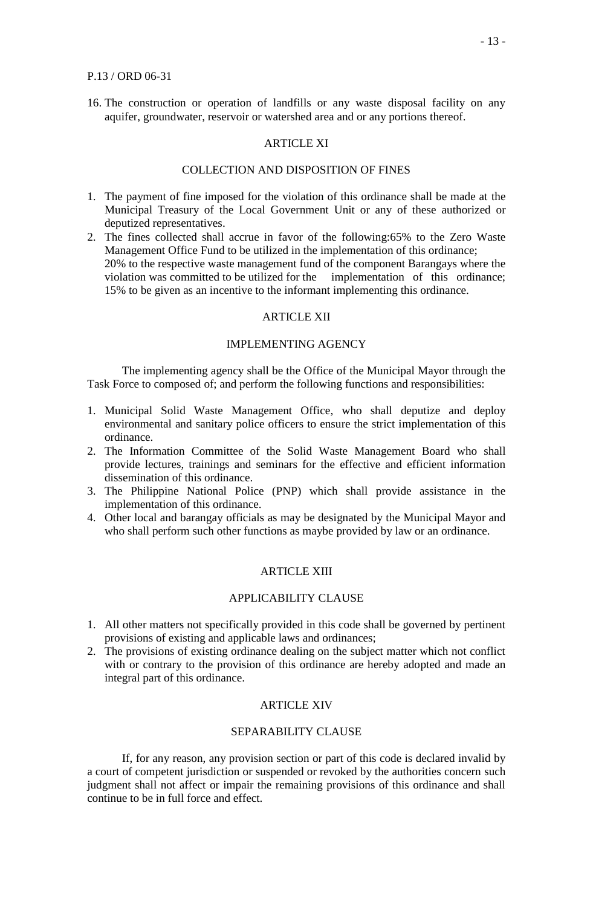16. The construction or operation of landfills or any waste disposal facility on any aquifer, groundwater, reservoir or watershed area and or any portions thereof.

#### **ARTICLE XI**

#### COLLECTION AND DISPOSITION OF FINES

- 1. The payment of fine imposed for the violation of this ordinance shall be made at the Municipal Treasury of the Local Government Unit or any of these authorized or deputized representatives.
- 2. The fines collected shall accrue in favor of the following:65% to the Zero Waste Management Office Fund to be utilized in the implementation of this ordinance; 20% to the respective waste management fund of the component Barangays where the violation was committed to be utilized for the implementation of this ordinance; 15% to be given as an incentive to the informant implementing this ordinance.

#### ARTICLE XII

# IMPLEMENTING AGENCY

The implementing agency shall be the Office of the Municipal Mayor through the Task Force to composed of; and perform the following functions and responsibilities:

- 1. Municipal Solid Waste Management Office, who shall deputize and deploy environmental and sanitary police officers to ensure the strict implementation of this ordinance.
- 2. The Information Committee of the Solid Waste Management Board who shall provide lectures, trainings and seminars for the effective and efficient information dissemination of this ordinance.
- 3. The Philippine National Police (PNP) which shall provide assistance in the implementation of this ordinance.
- 4. Other local and barangay officials as may be designated by the Municipal Mayor and who shall perform such other functions as maybe provided by law or an ordinance.

#### ARTICLE XIII

#### APPLICABILITY CLAUSE

- 1. All other matters not specifically provided in this code shall be governed by pertinent provisions of existing and applicable laws and ordinances;
- 2. The provisions of existing ordinance dealing on the subject matter which not conflict with or contrary to the provision of this ordinance are hereby adopted and made an integral part of this ordinance.

#### ARTICLE XIV

#### SEPARABILITY CLAUSE

If, for any reason, any provision section or part of this code is declared invalid by a court of competent jurisdiction or suspended or revoked by the authorities concern such judgment shall not affect or impair the remaining provisions of this ordinance and shall continue to be in full force and effect.